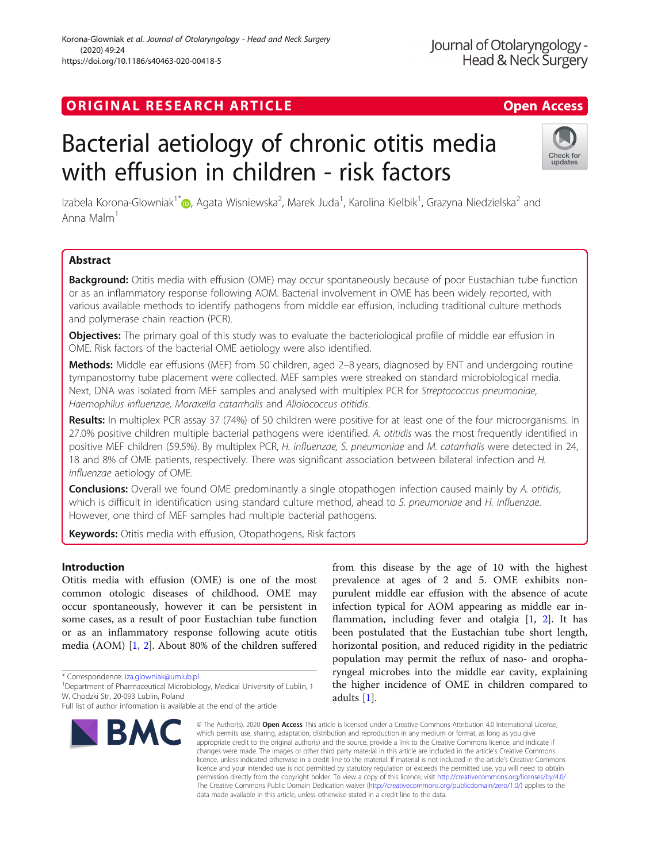# ORIGINAL RESEARCH ARTICLE **Example 20 and 20 and 20 and 20 and 20 and 20 and 20 and 20 and 20 and 20 and 20 and 20 and 20 and 20 and 20 and 20 and 20 and 20 and 20 and 20 and 20 and 20 and 20 and 20 and 20 and 20 and 20 an**

# Bacterial aetiology of chronic otitis media with effusion in children - risk factors

Izabela Korona-Glowniak<sup>1\*</sup>®[,](http://orcid.org/0000-0003-1634-0387) Agata Wisniewska<sup>2</sup>, Marek Juda<sup>1</sup>, Karolina Kielbik<sup>1</sup>, Grazyna Niedzielska<sup>2</sup> and Anna Malm<sup>1</sup>

# Abstract

Background: Otitis media with effusion (OME) may occur spontaneously because of poor Eustachian tube function or as an inflammatory response following AOM. Bacterial involvement in OME has been widely reported, with various available methods to identify pathogens from middle ear effusion, including traditional culture methods and polymerase chain reaction (PCR).

**Objectives:** The primary goal of this study was to evaluate the bacteriological profile of middle ear effusion in OME. Risk factors of the bacterial OME aetiology were also identified.

Methods: Middle ear effusions (MEF) from 50 children, aged 2–8 years, diagnosed by ENT and undergoing routine tympanostomy tube placement were collected. MEF samples were streaked on standard microbiological media. Next, DNA was isolated from MEF samples and analysed with multiplex PCR for Streptococcus pneumoniae, Haemophilus influenzae, Moraxella catarrhalis and Alloiococcus otitidis.

Results: In multiplex PCR assay 37 (74%) of 50 children were positive for at least one of the four microorganisms. In 27.0% positive children multiple bacterial pathogens were identified. A. otitidis was the most frequently identified in positive MEF children (59.5%). By multiplex PCR, H. influenzae, S. pneumoniae and M. catarrhalis were detected in 24, 18 and 8% of OME patients, respectively. There was significant association between bilateral infection and H. influenzae aetiology of OME.

**Conclusions:** Overall we found OME predominantly a single otopathogen infection caused mainly by A. otitidis, which is difficult in identification using standard culture method, ahead to S. pneumoniae and H. influenzae. However, one third of MEF samples had multiple bacterial pathogens.

Keywords: Otitis media with effusion, Otopathogens, Risk factors

# Introduction

Otitis media with effusion (OME) is one of the most common otologic diseases of childhood. OME may occur spontaneously, however it can be persistent in some cases, as a result of poor Eustachian tube function or as an inflammatory response following acute otitis media (AOM) [\[1](#page-5-0), [2](#page-5-0)]. About 80% of the children suffered

\* Correspondence: [iza.glowniak@umlub.pl](mailto:iza.glowniak@umlub.pl) <sup>1</sup>

<sup>1</sup>Department of Pharmaceutical Microbiology, Medical University of Lublin, 1 W. Chodzki Str, 20-093 Lublin, Poland

# Korona-Glowniak et al. Journal of Otolaryngology - Head and Neck Surgery (2020) 49:24 https://doi.org/10.1186/s40463-020-00418-5

**BMC** 

from this disease by the age of 10 with the highest prevalence at ages of 2 and 5. OME exhibits nonpurulent middle ear effusion with the absence of acute infection typical for AOM appearing as middle ear inflammation, including fever and otalgia [[1,](#page-5-0) [2](#page-5-0)]. It has been postulated that the Eustachian tube short length, horizontal position, and reduced rigidity in the pediatric population may permit the reflux of naso- and oropharyngeal microbes into the middle ear cavity, explaining the higher incidence of OME in children compared to adults [\[1](#page-5-0)].

© The Author(s), 2020 **Open Access** This article is licensed under a Creative Commons Attribution 4.0 International License, which permits use, sharing, adaptation, distribution and reproduction in any medium or format, as long as you give appropriate credit to the original author(s) and the source, provide a link to the Creative Commons licence, and indicate if changes were made. The images or other third party material in this article are included in the article's Creative Commons licence, unless indicated otherwise in a credit line to the material. If material is not included in the article's Creative Commons licence and your intended use is not permitted by statutory regulation or exceeds the permitted use, you will need to obtain permission directly from the copyright holder. To view a copy of this licence, visit [http://creativecommons.org/licenses/by/4.0/.](http://creativecommons.org/licenses/by/4.0/) The Creative Commons Public Domain Dedication waiver [\(http://creativecommons.org/publicdomain/zero/1.0/](http://creativecommons.org/publicdomain/zero/1.0/)) applies to the data made available in this article, unless otherwise stated in a credit line to the data.





Full list of author information is available at the end of the article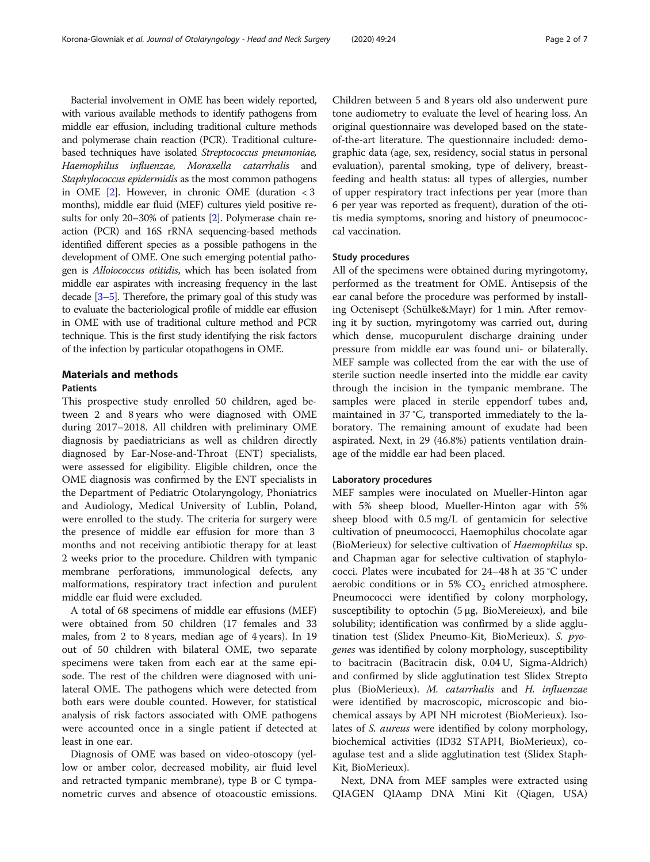Bacterial involvement in OME has been widely reported, with various available methods to identify pathogens from middle ear effusion, including traditional culture methods and polymerase chain reaction (PCR). Traditional culturebased techniques have isolated Streptococcus pneumoniae, Haemophilus influenzae, Moraxella catarrhalis and Staphylococcus epidermidis as the most common pathogens in OME  $[2]$  $[2]$ . However, in chronic OME (duration < 3 months), middle ear fluid (MEF) cultures yield positive results for only 20–30% of patients [\[2\]](#page-5-0). Polymerase chain reaction (PCR) and 16S rRNA sequencing-based methods identified different species as a possible pathogens in the development of OME. One such emerging potential pathogen is Alloiococcus otitidis, which has been isolated from middle ear aspirates with increasing frequency in the last decade [[3](#page-5-0)–[5\]](#page-5-0). Therefore, the primary goal of this study was to evaluate the bacteriological profile of middle ear effusion in OME with use of traditional culture method and PCR technique. This is the first study identifying the risk factors of the infection by particular otopathogens in OME.

# Materials and methods

## **Patients**

This prospective study enrolled 50 children, aged between 2 and 8 years who were diagnosed with OME during 2017–2018. All children with preliminary OME diagnosis by paediatricians as well as children directly diagnosed by Ear-Nose-and-Throat (ENT) specialists, were assessed for eligibility. Eligible children, once the OME diagnosis was confirmed by the ENT specialists in the Department of Pediatric Otolaryngology, Phoniatrics and Audiology, Medical University of Lublin, Poland, were enrolled to the study. The criteria for surgery were the presence of middle ear effusion for more than 3 months and not receiving antibiotic therapy for at least 2 weeks prior to the procedure. Children with tympanic membrane perforations, immunological defects, any malformations, respiratory tract infection and purulent middle ear fluid were excluded.

A total of 68 specimens of middle ear effusions (MEF) were obtained from 50 children (17 females and 33 males, from 2 to 8 years, median age of 4 years). In 19 out of 50 children with bilateral OME, two separate specimens were taken from each ear at the same episode. The rest of the children were diagnosed with unilateral OME. The pathogens which were detected from both ears were double counted. However, for statistical analysis of risk factors associated with OME pathogens were accounted once in a single patient if detected at least in one ear.

Diagnosis of OME was based on video-otoscopy (yellow or amber color, decreased mobility, air fluid level and retracted tympanic membrane), type B or C tympanometric curves and absence of otoacoustic emissions.

Children between 5 and 8 years old also underwent pure tone audiometry to evaluate the level of hearing loss. An original questionnaire was developed based on the stateof-the-art literature. The questionnaire included: demographic data (age, sex, residency, social status in personal evaluation), parental smoking, type of delivery, breastfeeding and health status: all types of allergies, number of upper respiratory tract infections per year (more than 6 per year was reported as frequent), duration of the otitis media symptoms, snoring and history of pneumococcal vaccination.

# Study procedures

All of the specimens were obtained during myringotomy, performed as the treatment for OME. Antisepsis of the ear canal before the procedure was performed by installing Octenisept (Schülke&Mayr) for 1 min. After removing it by suction, myringotomy was carried out, during which dense, mucopurulent discharge draining under pressure from middle ear was found uni- or bilaterally. MEF sample was collected from the ear with the use of sterile suction needle inserted into the middle ear cavity through the incision in the tympanic membrane. The samples were placed in sterile eppendorf tubes and, maintained in 37 °C, transported immediately to the laboratory. The remaining amount of exudate had been aspirated. Next, in 29 (46.8%) patients ventilation drainage of the middle ear had been placed.

# Laboratory procedures

MEF samples were inoculated on Mueller-Hinton agar with 5% sheep blood, Mueller-Hinton agar with 5% sheep blood with 0.5 mg/L of gentamicin for selective cultivation of pneumococci, Haemophilus chocolate agar (BioMerieux) for selective cultivation of Haemophilus sp. and Chapman agar for selective cultivation of staphylococci. Plates were incubated for 24–48 h at 35 °C under aerobic conditions or in 5%  $CO<sub>2</sub>$  enriched atmosphere. Pneumococci were identified by colony morphology, susceptibility to optochin (5 μg, BioMereieux), and bile solubility; identification was confirmed by a slide agglutination test (Slidex Pneumo-Kit, BioMerieux). S. pyogenes was identified by colony morphology, susceptibility to bacitracin (Bacitracin disk, 0.04 U, Sigma-Aldrich) and confirmed by slide agglutination test Slidex Strepto plus (BioMerieux). M. catarrhalis and H. influenzae were identified by macroscopic, microscopic and biochemical assays by API NH microtest (BioMerieux). Isolates of S. aureus were identified by colony morphology, biochemical activities (ID32 STAPH, BioMerieux), coagulase test and a slide agglutination test (Slidex Staph-Kit, BioMerieux).

Next, DNA from MEF samples were extracted using QIAGEN QIAamp DNA Mini Kit (Qiagen, USA)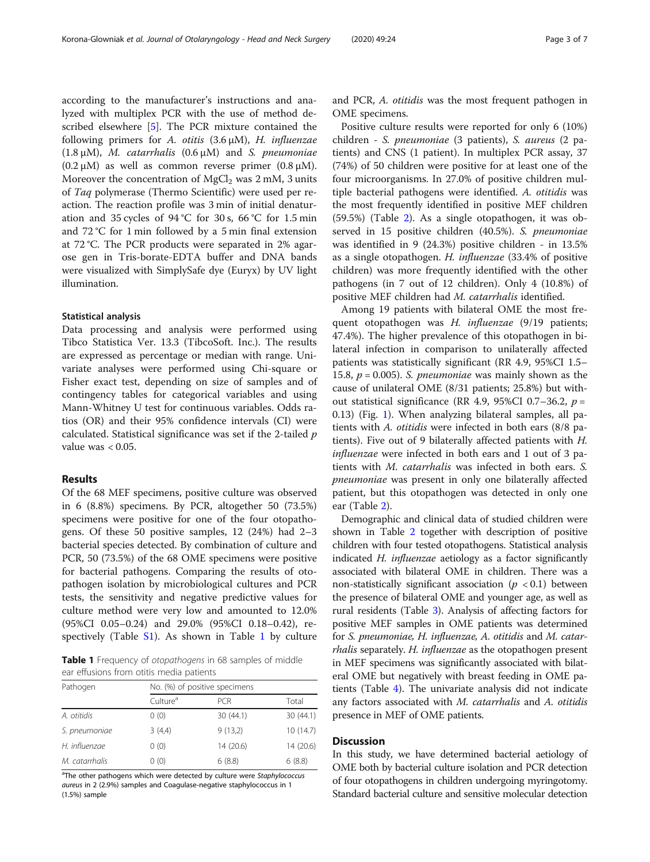according to the manufacturer's instructions and analyzed with multiplex PCR with the use of method described elsewhere [[5\]](#page-5-0). The PCR mixture contained the following primers for A. otitis  $(3.6 \mu M)$ , H. influenzae (1.8  $\mu$ M), *M. catarrhalis* (0.6  $\mu$ M) and *S. pneumoniae*  $(0.2 \mu M)$  as well as common reverse primer  $(0.8 \mu M)$ . Moreover the concentration of  $MgCl<sub>2</sub>$  was 2 mM, 3 units of Taq polymerase (Thermo Scientific) were used per reaction. The reaction profile was 3 min of initial denaturation and 35 cycles of 94 °C for 30 s, 66 °C for 1.5 min and 72 °C for 1 min followed by a 5 min final extension at 72 °C. The PCR products were separated in 2% agarose gen in Tris-borate-EDTA buffer and DNA bands were visualized with SimplySafe dye (Euryx) by UV light illumination.

## Statistical analysis

Data processing and analysis were performed using Tibco Statistica Ver. 13.3 (TibcoSoft. Inc.). The results are expressed as percentage or median with range. Univariate analyses were performed using Chi-square or Fisher exact test, depending on size of samples and of contingency tables for categorical variables and using Mann-Whitney U test for continuous variables. Odds ratios (OR) and their 95% confidence intervals (CI) were calculated. Statistical significance was set if the 2-tailed  $p$ value was  $< 0.05$ .

## Results

Of the 68 MEF specimens, positive culture was observed in 6 (8.8%) specimens. By PCR, altogether 50 (73.5%) specimens were positive for one of the four otopathogens. Of these 50 positive samples, 12 (24%) had 2–3 bacterial species detected. By combination of culture and PCR, 50 (73.5%) of the 68 OME specimens were positive for bacterial pathogens. Comparing the results of otopathogen isolation by microbiological cultures and PCR tests, the sensitivity and negative predictive values for culture method were very low and amounted to 12.0% (95%CI 0.05–0.24) and 29.0% (95%CI 0.18–0.42), respectively (Table  $S1$ ). As shown in Table 1 by culture

Table 1 Frequency of otopathogens in 68 samples of middle ear effusions from otitis media patients

| Pathogen       | No. (%) of positive specimens |            |           |  |  |
|----------------|-------------------------------|------------|-----------|--|--|
|                | Culture <sup>a</sup>          | <b>PCR</b> | Total     |  |  |
| A. otitidis    | 0(0)                          | 30(44.1)   | 30(44.1)  |  |  |
| S. pneumoniae  | 3(4,4)                        | 9(13,2)    | 10 (14.7) |  |  |
| H. influenzae  | 0(0)                          | 14 (20.6)  | 14 (20.6) |  |  |
| M. catarrhalis | 0(0)                          | 6(8.8)     | 6(8.8)    |  |  |

<sup>a</sup>The other pathogens which were detected by culture were Staphylococcus aureus in 2 (2.9%) samples and Coagulase-negative staphylococcus in 1 (1.5%) sample

and PCR, A. otitidis was the most frequent pathogen in OME specimens.

Positive culture results were reported for only 6 (10%) children - S. pneumoniae (3 patients), S. aureus (2 patients) and CNS (1 patient). In multiplex PCR assay, 37 (74%) of 50 children were positive for at least one of the four microorganisms. In 27.0% of positive children multiple bacterial pathogens were identified. A. otitidis was the most frequently identified in positive MEF children (59.5%) (Table [2\)](#page-3-0). As a single otopathogen, it was observed in 15 positive children (40.5%). S. pneumoniae was identified in 9 (24.3%) positive children - in 13.5% as a single otopathogen. H. influenzae (33.4% of positive children) was more frequently identified with the other pathogens (in 7 out of 12 children). Only 4 (10.8%) of positive MEF children had M. catarrhalis identified.

Among 19 patients with bilateral OME the most frequent otopathogen was H. influenzae (9/19 patients; 47.4%). The higher prevalence of this otopathogen in bilateral infection in comparison to unilaterally affected patients was statistically significant (RR 4.9, 95%CI 1.5– 15.8,  $p = 0.005$ ). S. pneumoniae was mainly shown as the cause of unilateral OME (8/31 patients; 25.8%) but without statistical significance (RR 4.9, 95%CI 0.7–36.2,  $p =$ 0.13) (Fig. [1\)](#page-3-0). When analyzing bilateral samples, all patients with A. otitidis were infected in both ears (8/8 patients). Five out of 9 bilaterally affected patients with H. influenzae were infected in both ears and 1 out of 3 patients with M. catarrhalis was infected in both ears. S. pneumoniae was present in only one bilaterally affected patient, but this otopathogen was detected in only one ear (Table [2](#page-3-0)).

Demographic and clinical data of studied children were shown in Table [2](#page-3-0) together with description of positive children with four tested otopathogens. Statistical analysis indicated H. influenzae aetiology as a factor significantly associated with bilateral OME in children. There was a non-statistically significant association ( $p < 0.1$ ) between the presence of bilateral OME and younger age, as well as rural residents (Table [3](#page-4-0)). Analysis of affecting factors for positive MEF samples in OME patients was determined for S. pneumoniae, H. influenzae, A. otitidis and M. catarrhalis separately. H. influenzae as the otopathogen present in MEF specimens was significantly associated with bilateral OME but negatively with breast feeding in OME patients (Table [4](#page-4-0)). The univariate analysis did not indicate any factors associated with M. catarrhalis and A. otitidis presence in MEF of OME patients.

# **Discussion**

In this study, we have determined bacterial aetiology of OME both by bacterial culture isolation and PCR detection of four otopathogens in children undergoing myringotomy. Standard bacterial culture and sensitive molecular detection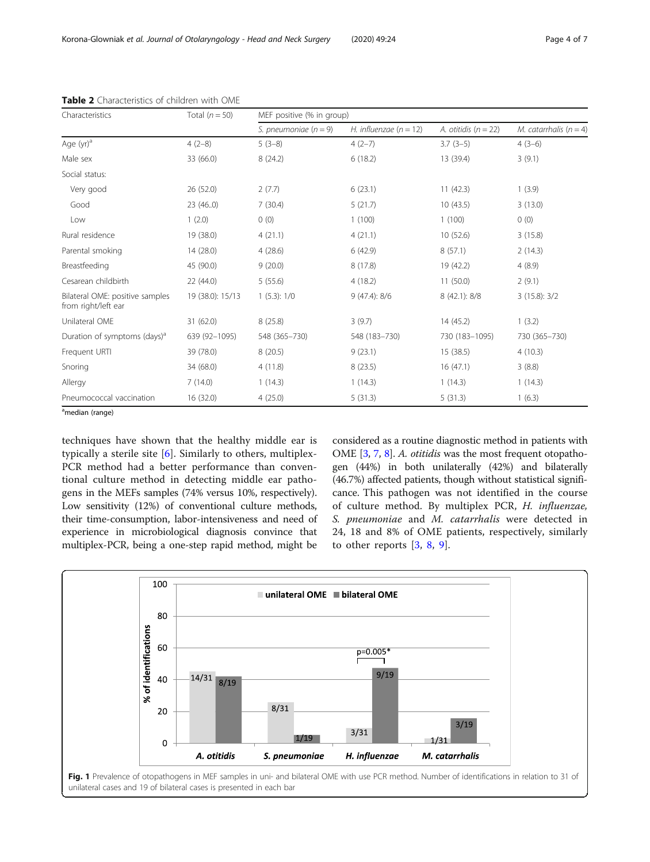| Characteristics                                        | Total $(n = 50)$ | MEF positive (% in group) |                          |                        |                          |
|--------------------------------------------------------|------------------|---------------------------|--------------------------|------------------------|--------------------------|
|                                                        |                  | S. pneumoniae $(n = 9)$   | H. influenzae $(n = 12)$ | A. otitidis $(n = 22)$ | M. catarrhalis $(n = 4)$ |
| Age (yr) <sup>a</sup>                                  | $4(2-8)$         | $5(3-8)$                  | $4(2-7)$                 | $3.7(3-5)$             | $4(3-6)$                 |
| Male sex                                               | 33 (66.0)        | 8(24.2)                   | 6(18.2)                  | 13 (39.4)              | 3(9.1)                   |
| Social status:                                         |                  |                           |                          |                        |                          |
| Very good                                              | 26 (52.0)        | 2(7.7)                    | 6(23.1)                  | 11(42.3)               | 1(3.9)                   |
| Good                                                   | 23(46.0)         | 7(30.4)                   | 5(21.7)                  | 10(43.5)               | 3(13.0)                  |
| Low                                                    | 1(2.0)           | 0(0)                      | 1(100)                   | 1(100)                 | 0(0)                     |
| Rural residence                                        | 19 (38.0)        | 4(21.1)                   | 4(21.1)                  | 10(52.6)               | 3(15.8)                  |
| Parental smoking                                       | 14(28.0)         | 4(28.6)                   | 6(42.9)                  | 8(57.1)                | 2(14.3)                  |
| Breastfeeding                                          | 45 (90.0)        | 9(20.0)                   | 8(17.8)                  | 19 (42.2)              | 4(8.9)                   |
| Cesarean childbirth                                    | 22(44.0)         | 5(55.6)                   | 4(18.2)                  | 11(50.0)               | 2(9.1)                   |
| Bilateral OME: positive samples<br>from right/left ear | 19 (38.0): 15/13 | 1(5.3): 1/0               | 9(47.4): 8/6             | 8 (42.1): 8/8          | 3(15.8): 3/2             |
| Unilateral OME                                         | 31 (62.0)        | 8(25.8)                   | 3(9.7)                   | 14 (45.2)              | 1(3.2)                   |
| Duration of symptoms (days) <sup>d</sup>               | 639 (92-1095)    | 548 (365-730)             | 548 (183-730)            | 730 (183-1095)         | 730 (365-730)            |
| Frequent URTI                                          | 39 (78.0)        | 8(20.5)                   | 9(23.1)                  | 15(38.5)               | 4(10.3)                  |
| Snoring                                                | 34 (68.0)        | 4(11.8)                   | 8(23.5)                  | 16(47.1)               | 3(8.8)                   |
| Allergy                                                | 7(14.0)          | 1(14.3)                   | 1(14.3)                  | 1(14.3)                | 1(14.3)                  |
| Pneumococcal vaccination                               | 16 (32.0)        | 4(25.0)                   | 5(31.3)                  | 5(31.3)                | 1(6.3)                   |

<span id="page-3-0"></span>

| Table 2 Characteristics of children with OME |
|----------------------------------------------|
|----------------------------------------------|

<sup>a</sup>median (range)

techniques have shown that the healthy middle ear is typically a sterile site [[6\]](#page-6-0). Similarly to others, multiplex-PCR method had a better performance than conventional culture method in detecting middle ear pathogens in the MEFs samples (74% versus 10%, respectively). Low sensitivity (12%) of conventional culture methods, their time-consumption, labor-intensiveness and need of experience in microbiological diagnosis convince that multiplex-PCR, being a one-step rapid method, might be considered as a routine diagnostic method in patients with OME [[3,](#page-5-0) [7](#page-6-0), [8](#page-6-0)]. A. otitidis was the most frequent otopathogen (44%) in both unilaterally (42%) and bilaterally (46.7%) affected patients, though without statistical significance. This pathogen was not identified in the course of culture method. By multiplex PCR, H. influenzae, S. pneumoniae and M. catarrhalis were detected in 24, 18 and 8% of OME patients, respectively, similarly to other reports  $[3, 8, 9]$  $[3, 8, 9]$  $[3, 8, 9]$  $[3, 8, 9]$  $[3, 8, 9]$  $[3, 8, 9]$  $[3, 8, 9]$ .

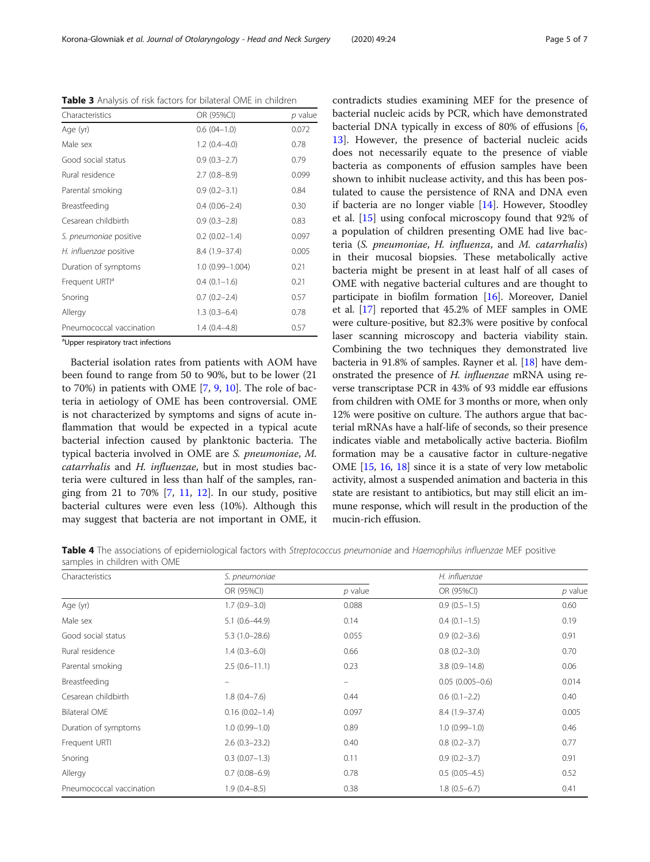aUpper respiratory tract infections

Bacterial isolation rates from patients with AOM have been found to range from 50 to 90%, but to be lower (21 to 70%) in patients with OME  $[7, 9, 10]$  $[7, 9, 10]$  $[7, 9, 10]$  $[7, 9, 10]$  $[7, 9, 10]$ . The role of bacteria in aetiology of OME has been controversial. OME is not characterized by symptoms and signs of acute inflammation that would be expected in a typical acute bacterial infection caused by planktonic bacteria. The typical bacteria involved in OME are S. pneumoniae, M. catarrhalis and H. influenzae, but in most studies bacteria were cultured in less than half of the samples, ranging from 21 to 70%  $[7, 11, 12]$  $[7, 11, 12]$  $[7, 11, 12]$  $[7, 11, 12]$  $[7, 11, 12]$  $[7, 11, 12]$  $[7, 11, 12]$ . In our study, positive bacterial cultures were even less (10%). Although this may suggest that bacteria are not important in OME, it bacterial nucleic acids by PCR, which have demonstrated bacterial DNA typically in excess of 80% of effusions [\[6](#page-6-0), [13\]](#page-6-0). However, the presence of bacterial nucleic acids does not necessarily equate to the presence of viable bacteria as components of effusion samples have been shown to inhibit nuclease activity, and this has been postulated to cause the persistence of RNA and DNA even if bacteria are no longer viable [[14\]](#page-6-0). However, Stoodley et al. [[15\]](#page-6-0) using confocal microscopy found that 92% of a population of children presenting OME had live bacteria (S. pneumoniae, H. influenza, and M. catarrhalis) in their mucosal biopsies. These metabolically active bacteria might be present in at least half of all cases of OME with negative bacterial cultures and are thought to participate in biofilm formation [\[16\]](#page-6-0). Moreover, Daniel et al. [\[17\]](#page-6-0) reported that 45.2% of MEF samples in OME were culture-positive, but 82.3% were positive by confocal laser scanning microscopy and bacteria viability stain. Combining the two techniques they demonstrated live bacteria in 91.8% of samples. Rayner et al. [\[18\]](#page-6-0) have demonstrated the presence of H. influenzae mRNA using reverse transcriptase PCR in 43% of 93 middle ear effusions from children with OME for 3 months or more, when only 12% were positive on culture. The authors argue that bacterial mRNAs have a half-life of seconds, so their presence indicates viable and metabolically active bacteria. Biofilm formation may be a causative factor in culture-negative OME [\[15,](#page-6-0) [16,](#page-6-0) [18\]](#page-6-0) since it is a state of very low metabolic activity, almost a suspended animation and bacteria in this state are resistant to antibiotics, but may still elicit an immune response, which will result in the production of the mucin-rich effusion.

contradicts studies examining MEF for the presence of

Table 4 The associations of epidemiological factors with Streptococcus pneumoniae and Haemophilus influenzae MEF positive samples in children with OME

| Characteristics          | S. pneumoniae      |                   | H. influenzae       |           |
|--------------------------|--------------------|-------------------|---------------------|-----------|
|                          | OR (95%CI)         | $p$ value         | OR (95%CI)          | $p$ value |
| Age (yr)                 | $1.7(0.9 - 3.0)$   | 0.088             | $0.9(0.5-1.5)$      | 0.60      |
| Male sex                 | $5.1(0.6-44.9)$    | 0.14              | $0.4(0.1-1.5)$      | 0.19      |
| Good social status       | $5.3(1.0-28.6)$    | 0.055             | $0.9(0.2 - 3.6)$    | 0.91      |
| Rural residence          | $1.4(0.3-6.0)$     | 0.66              | $0.8(0.2 - 3.0)$    | 0.70      |
| Parental smoking         | $2.5(0.6-11.1)$    | 0.23              | $3.8(0.9 - 14.8)$   | 0.06      |
| Breastfeeding            |                    | $\qquad \qquad -$ | $0.05(0.005 - 0.6)$ | 0.014     |
| Cesarean childbirth      | $1.8(0.4 - 7.6)$   | 0.44              | $0.6(0.1-2.2)$      | 0.40      |
| <b>Bilateral OME</b>     | $0.16(0.02 - 1.4)$ | 0.097             | $8.4(1.9-37.4)$     | 0.005     |
| Duration of symptoms     | $1.0(0.99 - 1.0)$  | 0.89              | $1.0(0.99 - 1.0)$   | 0.46      |
| Frequent URTI            | $2.6(0.3-23.2)$    | 0.40              | $0.8(0.2 - 3.7)$    | 0.77      |
| Snoring                  | $0.3(0.07-1.3)$    | 0.11              | $0.9(0.2 - 3.7)$    | 0.91      |
| Allergy                  | $0.7(0.08 - 6.9)$  | 0.78              | $0.5(0.05-4.5)$     | 0.52      |
| Pneumococcal vaccination | $1.9(0.4 - 8.5)$   | 0.38              | $1.8(0.5-6.7)$      | 0.41      |

<span id="page-4-0"></span>Table 3 Analysis of risk factors for bilateral OME in children Characteristics **OR (95%CI)** *p* value

Age (yr) 0.6 (04–1.0) 0.072 Male sex 0.78 Good social status 0.9 (0.3–2.7) 0.79 Rural residence 2.7 (0.8–8.9) 0.099 Parental smoking 0.9 (0.2–3.1) 0.84 Breastfeeding 0.4 (0.06–2.4) 0.30 Cesarean childbirth 0.9 (0.3–2.8) 0.83 S. pneumoniae positive 0.2 (0.02–1.4) 0.097 H. influenzae positive 8.4 (1.9–37.4) 0.005 Duration of symptoms 1.0 (0.99–1.004) 0.21 Frequent URT $^a$  0.4 (0.1–1.6) 0.21 Snoring 0.7 (0.2–2.4) 0.57 Allergy 1.3 (0.3–6.4) 0.78 Pneumococcal vaccination 1.4 (0.4–4.8) 0.57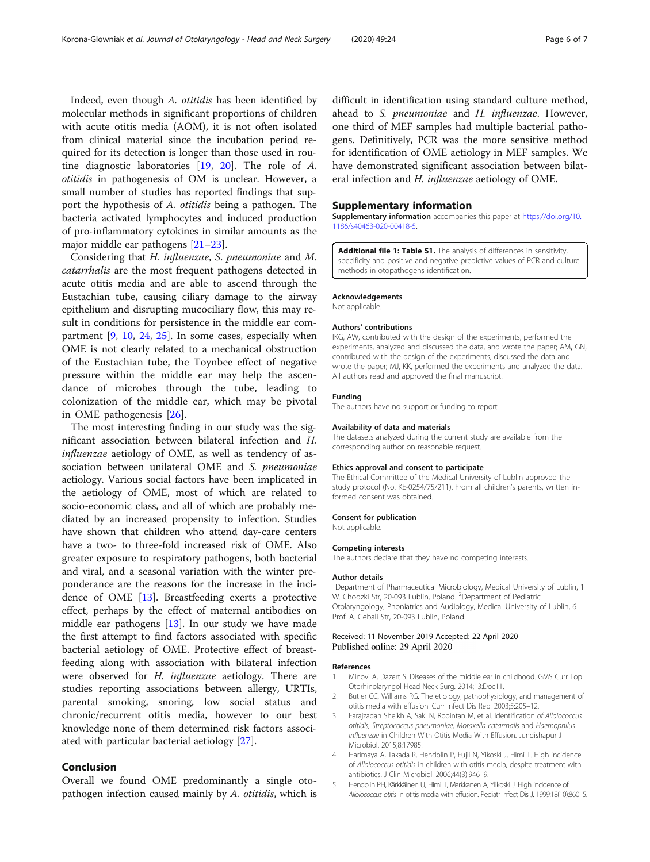<span id="page-5-0"></span>Indeed, even though A. otitidis has been identified by molecular methods in significant proportions of children with acute otitis media (AOM), it is not often isolated from clinical material since the incubation period required for its detection is longer than those used in routine diagnostic laboratories [\[19](#page-6-0), [20\]](#page-6-0). The role of A. otitidis in pathogenesis of OM is unclear. However, a small number of studies has reported findings that support the hypothesis of A. otitidis being a pathogen. The bacteria activated lymphocytes and induced production of pro-inflammatory cytokines in similar amounts as the major middle ear pathogens [[21](#page-6-0)–[23](#page-6-0)].

Considering that H. influenzae, S. pneumoniae and M. catarrhalis are the most frequent pathogens detected in acute otitis media and are able to ascend through the Eustachian tube, causing ciliary damage to the airway epithelium and disrupting mucociliary flow, this may result in conditions for persistence in the middle ear compartment [\[9](#page-6-0), [10,](#page-6-0) [24](#page-6-0), [25](#page-6-0)]. In some cases, especially when OME is not clearly related to a mechanical obstruction of the Eustachian tube, the Toynbee effect of negative pressure within the middle ear may help the ascendance of microbes through the tube, leading to colonization of the middle ear, which may be pivotal in OME pathogenesis [[26\]](#page-6-0).

The most interesting finding in our study was the significant association between bilateral infection and H. influenzae aetiology of OME, as well as tendency of association between unilateral OME and S. pneumoniae aetiology. Various social factors have been implicated in the aetiology of OME, most of which are related to socio-economic class, and all of which are probably mediated by an increased propensity to infection. Studies have shown that children who attend day-care centers have a two- to three-fold increased risk of OME. Also greater exposure to respiratory pathogens, both bacterial and viral, and a seasonal variation with the winter preponderance are the reasons for the increase in the incidence of OME [[13\]](#page-6-0). Breastfeeding exerts a protective effect, perhaps by the effect of maternal antibodies on middle ear pathogens [\[13](#page-6-0)]. In our study we have made the first attempt to find factors associated with specific bacterial aetiology of OME. Protective effect of breastfeeding along with association with bilateral infection were observed for H. influenzae aetiology. There are studies reporting associations between allergy, URTIs, parental smoking, snoring, low social status and chronic/recurrent otitis media, however to our best knowledge none of them determined risk factors associated with particular bacterial aetiology [\[27\]](#page-6-0).

# Conclusion

Overall we found OME predominantly a single otopathogen infection caused mainly by A. *otitidis*, which is difficult in identification using standard culture method, ahead to S. pneumoniae and H. influenzae. However, one third of MEF samples had multiple bacterial pathogens. Definitively, PCR was the more sensitive method for identification of OME aetiology in MEF samples. We have demonstrated significant association between bilateral infection and H. influenzae aetiology of OME.

## Supplementary information

Supplementary information accompanies this paper at [https://doi.org/10.](https://doi.org/10.1186/s40463-020-00418-5) [1186/s40463-020-00418-5](https://doi.org/10.1186/s40463-020-00418-5).

Additional file 1: Table S1. The analysis of differences in sensitivity, specificity and positive and negative predictive values of PCR and culture methods in otopathogens identification.

#### Acknowledgements

Not applicable.

#### Authors' contributions

IKG, AW, contributed with the design of the experiments, performed the experiments, analyzed and discussed the data, and wrote the paper; AM, GN, contributed with the design of the experiments, discussed the data and wrote the paper; MJ, KK, performed the experiments and analyzed the data. All authors read and approved the final manuscript.

# Funding

The authors have no support or funding to report.

#### Availability of data and materials

The datasets analyzed during the current study are available from the corresponding author on reasonable request.

#### Ethics approval and consent to participate

The Ethical Committee of the Medical University of Lublin approved the study protocol (No. KE-0254/75/211). From all children's parents, written informed consent was obtained.

#### Consent for publication

Not applicable.

#### Competing interests

The authors declare that they have no competing interests.

#### Author details

<sup>1</sup>Department of Pharmaceutical Microbiology, Medical University of Lublin, 1 W. Chodzki Str, 20-093 Lublin, Poland. <sup>2</sup>Department of Pediatric Otolaryngology, Phoniatrics and Audiology, Medical University of Lublin, 6 Prof. A. Gebali Str, 20-093 Lublin, Poland.

#### Received: 11 November 2019 Accepted: 22 April 2020 Published online: 29 April 2020

#### References

- Minovi A, Dazert S. Diseases of the middle ear in childhood. GMS Curr Top Otorhinolaryngol Head Neck Surg. 2014;13:Doc11.
- 2. Butler CC, Williams RG. The etiology, pathophysiology, and management of otitis media with effusion. Curr Infect Dis Rep. 2003;5:205–12.
- 3. Farajzadah Sheikh A, Saki N, Roointan M, et al. Identification of Alloiococcus otitidis, Streptococcus pneumoniae, Moraxella catarrhalis and Haemophilus influenzae in Children With Otitis Media With Effusion. Jundishapur J Microbiol. 2015;8:17985.
- 4. Harimaya A, Takada R, Hendolin P, Fujii N, Yikoski J, Himi T. High incidence of Alloiococcus otitidis in children with otitis media, despite treatment with antibiotics. J Clin Microbiol. 2006;44(3):946–9.
- 5. Hendolin PH, Kärkkäinen U, Himi T, Markkanen A, Ylikoski J. High incidence of Alloiococcus otitis in otitis media with effusion. Pediatr Infect Dis J. 1999;18(10):860–5.